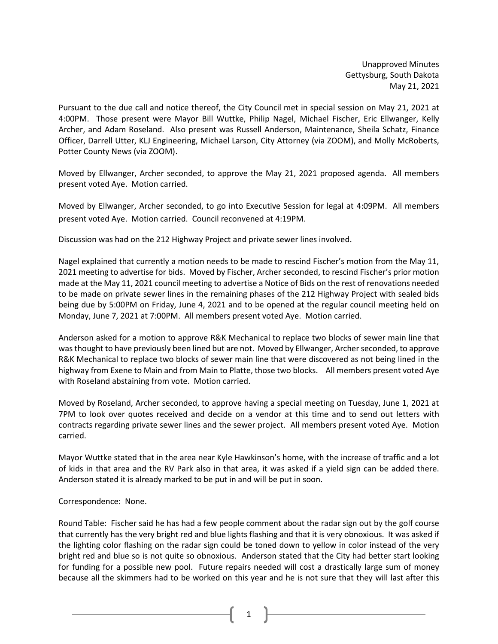Unapproved Minutes Gettysburg, South Dakota May 21, 2021

Pursuant to the due call and notice thereof, the City Council met in special session on May 21, 2021 at 4:00PM. Those present were Mayor Bill Wuttke, Philip Nagel, Michael Fischer, Eric Ellwanger, Kelly Archer, and Adam Roseland. Also present was Russell Anderson, Maintenance, Sheila Schatz, Finance Officer, Darrell Utter, KLJ Engineering, Michael Larson, City Attorney (via ZOOM), and Molly McRoberts, Potter County News (via ZOOM).

Moved by Ellwanger, Archer seconded, to approve the May 21, 2021 proposed agenda. All members present voted Aye. Motion carried.

Moved by Ellwanger, Archer seconded, to go into Executive Session for legal at 4:09PM. All members present voted Aye. Motion carried. Council reconvened at 4:19PM.

Discussion was had on the 212 Highway Project and private sewer lines involved.

Nagel explained that currently a motion needs to be made to rescind Fischer's motion from the May 11, 2021 meeting to advertise for bids. Moved by Fischer, Archer seconded, to rescind Fischer's prior motion made at the May 11, 2021 council meeting to advertise a Notice of Bids on the rest of renovations needed to be made on private sewer lines in the remaining phases of the 212 Highway Project with sealed bids being due by 5:00PM on Friday, June 4, 2021 and to be opened at the regular council meeting held on Monday, June 7, 2021 at 7:00PM. All members present voted Aye. Motion carried.

Anderson asked for a motion to approve R&K Mechanical to replace two blocks of sewer main line that wasthought to have previously been lined but are not. Moved by Ellwanger, Archer seconded, to approve R&K Mechanical to replace two blocks of sewer main line that were discovered as not being lined in the highway from Exene to Main and from Main to Platte, those two blocks. All members present voted Aye with Roseland abstaining from vote. Motion carried.

Moved by Roseland, Archer seconded, to approve having a special meeting on Tuesday, June 1, 2021 at 7PM to look over quotes received and decide on a vendor at this time and to send out letters with contracts regarding private sewer lines and the sewer project. All members present voted Aye. Motion carried.

Mayor Wuttke stated that in the area near Kyle Hawkinson's home, with the increase of traffic and a lot of kids in that area and the RV Park also in that area, it was asked if a yield sign can be added there. Anderson stated it is already marked to be put in and will be put in soon.

Correspondence: None.

Round Table: Fischer said he has had a few people comment about the radar sign out by the golf course that currently has the very bright red and blue lights flashing and that it is very obnoxious. It was asked if the lighting color flashing on the radar sign could be toned down to yellow in color instead of the very bright red and blue so is not quite so obnoxious. Anderson stated that the City had better start looking for funding for a possible new pool. Future repairs needed will cost a drastically large sum of money because all the skimmers had to be worked on this year and he is not sure that they will last after this